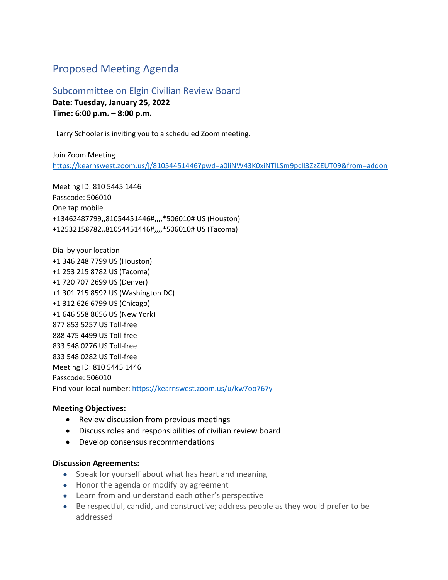## Proposed Meeting Agenda

Subcommittee on Elgin Civilian Review Board **Date: Tuesday, January 25, 2022 Time: 6:00 p.m. – 8:00 p.m.** 

Larry Schooler is inviting you to a scheduled Zoom meeting.

Join Zoom Meeting <https://kearnswest.zoom.us/j/81054451446?pwd=a0liNW43K0xiNTlLSm9pclI3ZzZEUT09&from=addon>

Meeting ID: 810 5445 1446 Passcode: 506010 One tap mobile +13462487799,,81054451446#,,,,\*506010# US (Houston) +12532158782,,81054451446#,,,,\*506010# US (Tacoma)

Dial by your location +1 346 248 7799 US (Houston) +1 253 215 8782 US (Tacoma) +1 720 707 2699 US (Denver) +1 301 715 8592 US (Washington DC) +1 312 626 6799 US (Chicago) +1 646 558 8656 US (New York) 877 853 5257 US Toll-free 888 475 4499 US Toll-free 833 548 0276 US Toll-free 833 548 0282 US Toll-free Meeting ID: 810 5445 1446 Passcode: 506010 Find your local number[: https://kearnswest.zoom.us/u/kw7oo767y](https://kearnswest.zoom.us/u/kw7oo767y)

## **Meeting Objectives:**

- Review discussion from previous meetings
- Discuss roles and responsibilities of civilian review board
- Develop consensus recommendations

## **Discussion Agreements:**

- Speak for yourself about what has heart and meaning
- Honor the agenda or modify by agreement
- Learn from and understand each other's perspective
- Be respectful, candid, and constructive; address people as they would prefer to be addressed